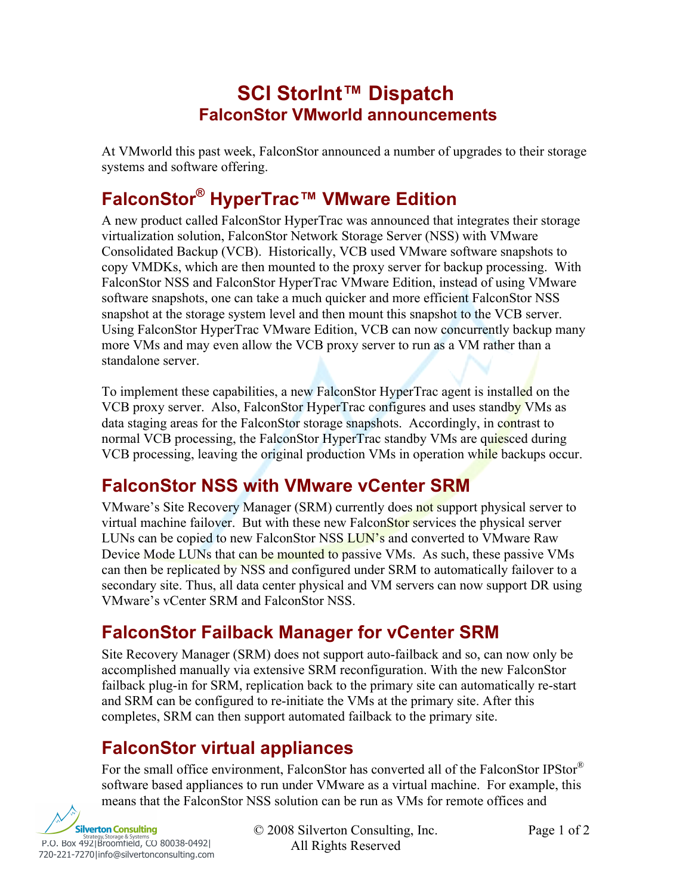#### **SCI StorInt™ Dispatch FalconStor VMworld announcements**

At VMworld this past week, FalconStor announced a number of upgrades to their storage systems and software offering.

# **FalconStor® HyperTrac™ VMware Edition**

A new product called FalconStor HyperTrac was announced that integrates their storage virtualization solution, FalconStor Network Storage Server (NSS) with VMware Consolidated Backup (VCB). Historically, VCB used VMware software snapshots to copy VMDKs, which are then mounted to the proxy server for backup processing. With FalconStor NSS and FalconStor HyperTrac VMware Edition, instead of using VMware software snapshots, one can take a much quicker and more efficient FalconStor NSS snapshot at the storage system level and then mount this snapshot to the VCB server. Using FalconStor HyperTrac VMware Edition, VCB can now concurrently backup many more VMs and may even allow the VCB proxy server to run as a VM rather than a standalone server.

To implement these capabilities, a new FalconStor HyperTrac agent is installed on the VCB proxy server. Also, FalconStor HyperTrac configures and uses standby VMs as data staging areas for the FalconStor storage snapshots. Accordingly, in contrast to normal VCB processing, the FalconStor HyperTrac standby VMs are quiesced during VCB processing, leaving the original production VMs in operation while backups occur.

## **FalconStor NSS with VMware vCenter SRM**

VMware's Site Recovery Manager (SRM) currently does not support physical server to virtual machine failover. But with these new FalconStor services the physical server LUNs can be copied to new FalconStor NSS LUN's and converted to VMware Raw Device Mode LUNs that can be mounted to passive VMs. As such, these passive VMs can then be replicated by NSS and configured under SRM to automatically failover to a secondary site. Thus, all data center physical and VM servers can now support DR using VMware's vCenter SRM and FalconStor NSS.

## **FalconStor Failback Manager for vCenter SRM**

Site Recovery Manager (SRM) does not support auto-failback and so, can now only be accomplished manually via extensive SRM reconfiguration. With the new FalconStor failback plug-in for SRM, replication back to the primary site can automatically re-start and SRM can be configured to re-initiate the VMs at the primary site. After this completes, SRM can then support automated failback to the primary site.

## **FalconStor virtual appliances**

For the small office environment, FalconStor has converted all of the FalconStor IPStor® software based appliances to run under VMware as a virtual machine. For example, this means that the FalconStor NSS solution can be run as VMs for remote offices and



© 2008 Silverton Consulting, Inc. Page 1 of 2 P.O. Box 492|Broomfield, CO 80038-0492| All Rights Reserved